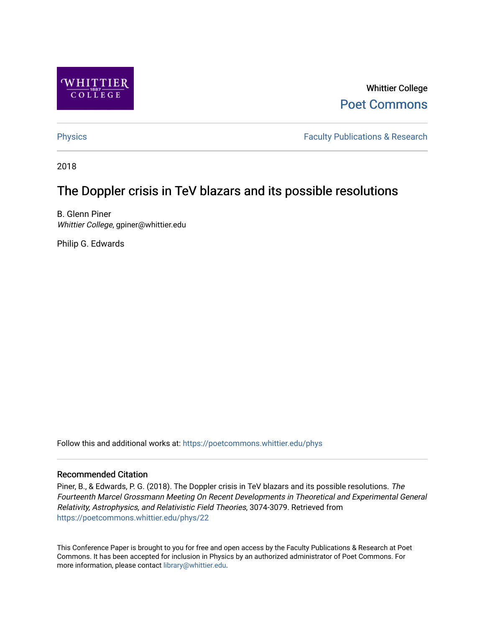

Whittier College [Poet Commons](https://poetcommons.whittier.edu/) 

[Physics](https://poetcommons.whittier.edu/phys) **Faculty Publications & Research Physics Faculty Publications & Research** 

2018

# The Doppler crisis in TeV blazars and its possible resolutions

B. Glenn Piner Whittier College, gpiner@whittier.edu

Philip G. Edwards

Follow this and additional works at: [https://poetcommons.whittier.edu/phys](https://poetcommons.whittier.edu/phys?utm_source=poetcommons.whittier.edu%2Fphys%2F22&utm_medium=PDF&utm_campaign=PDFCoverPages)

# Recommended Citation

Piner, B., & Edwards, P. G. (2018). The Doppler crisis in TeV blazars and its possible resolutions. The Fourteenth Marcel Grossmann Meeting On Recent Developments in Theoretical and Experimental General Relativity, Astrophysics, and Relativistic Field Theories, 3074-3079. Retrieved from [https://poetcommons.whittier.edu/phys/22](https://poetcommons.whittier.edu/phys/22?utm_source=poetcommons.whittier.edu%2Fphys%2F22&utm_medium=PDF&utm_campaign=PDFCoverPages) 

This Conference Paper is brought to you for free and open access by the Faculty Publications & Research at Poet Commons. It has been accepted for inclusion in Physics by an authorized administrator of Poet Commons. For more information, please contact [library@whittier.edu.](mailto:library@whittier.edu)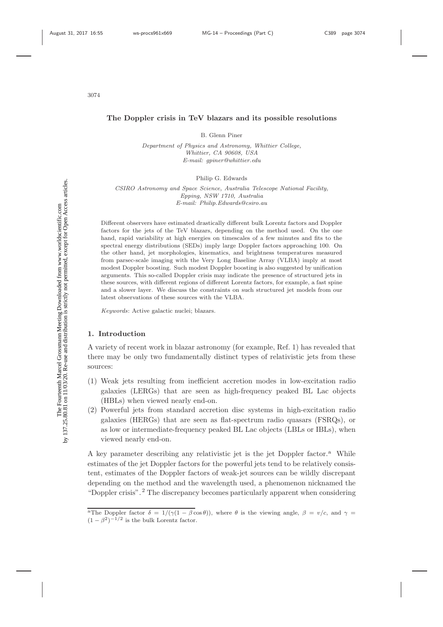# **The Doppler crisis in TeV blazars and its possible resolutions**

B. Glenn Piner

Department of Physics and Astronomy, Whittier College, Whittier, CA 90608, USA E-mail: gpiner@whittier.edu

Philip G. Edwards

CSIRO Astronomy and Space Science, Australia Telescope National Facility, Epping, NSW 1710, Australia E-mail: Philip.Edwards@csiro.au

Different observers have estimated drastically different bulk Lorentz factors and Doppler factors for the jets of the TeV blazars, depending on the method used. On the one hand, rapid variability at high energies on timescales of a few minutes and fits to the spectral energy distributions (SEDs) imply large Doppler factors approaching 100. On the other hand, jet morphologies, kinematics, and brightness temperatures measured from parsec-scale imaging with the Very Long Baseline Array (VLBA) imply at most modest Doppler boosting. Such modest Doppler boosting is also suggested by unification arguments. This so-called Doppler crisis may indicate the presence of structured jets in these sources, with different regions of different Lorentz factors, for example, a fast spine and a slower layer. We discuss the constraints on such structured jet models from our latest observations of these sources with the VLBA.

Keywords: Active galactic nuclei; blazars.

# **1. Introduction**

A variety of recent work in blazar astronomy (for example, Ref. 1) has revealed that there may be only two fundamentally distinct types of relativistic jets from these sources:

- (1) Weak jets resulting from inefficient accretion modes in low-excitation radio galaxies (LERGs) that are seen as high-frequency peaked BL Lac objects (HBLs) when viewed nearly end-on.
- (2) Powerful jets from standard accretion disc systems in high-excitation radio galaxies (HERGs) that are seen as flat-spectrum radio quasars (FSRQs), or as low or intermediate-frequency peaked BL Lac objects (LBLs or IBLs), when viewed nearly end-on.

A key parameter describing any relativistic jet is the jet Doppler factor.<sup>a</sup> While estimates of the jet Doppler factors for the powerful jets tend to be relatively consistent, estimates of the Doppler factors of weak-jet sources can be wildly discrepant depending on the method and the wavelength used, a phenomenon nicknamed the "Doppler crisis".<sup>2</sup> The discrepancy becomes particularly apparent when considering

<sup>&</sup>lt;sup>a</sup>The Doppler factor  $\delta = 1/(\gamma(1 - \beta \cos \theta))$ , where  $\theta$  is the viewing angle,  $\beta = v/c$ , and  $\gamma =$  $(1 - \beta^2)^{-1/2}$  is the bulk Lorentz factor.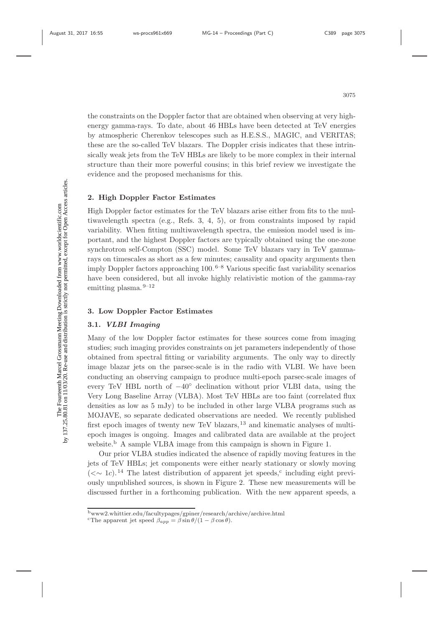these are the so-called TeV blazars. The Doppler crisis indicates that these intrinsically weak jets from the TeV HBLs are likely to be more complex in their internal structure than their more powerful cousins; in this brief review we investigate the evidence and the proposed mechanisms for this.

# **2. High Doppler Factor Estimates**

High Doppler factor estimates for the TeV blazars arise either from fits to the multiwavelength spectra (e.g., Refs. 3, 4, 5), or from constraints imposed by rapid variability. When fitting multiwavelength spectra, the emission model used is important, and the highest Doppler factors are typically obtained using the one-zone synchrotron self-Compton (SSC) model. Some TeV blazars vary in TeV gammarays on timescales as short as a few minutes; causality and opacity arguments then imply Doppler factors approaching  $100<sup>6-8</sup>$  Various specific fast variability scenarios have been considered, but all invoke highly relativistic motion of the gamma-ray emitting plasma. $9-12$ 

the constraints on the Doppler factor that are obtained when observing at very highenergy gamma-rays. To date, about 46 HBLs have been detected at TeV energies by atmospheric Cherenkov telescopes such as H.E.S.S., MAGIC, and VERITAS;

# **3. Low Doppler Factor Estimates**

# **3.1.** *VLBI Imaging*

Many of the low Doppler factor estimates for these sources come from imaging studies; such imaging provides constraints on jet parameters independently of those obtained from spectral fitting or variability arguments. The only way to directly image blazar jets on the parsec-scale is in the radio with VLBI. We have been conducting an observing campaign to produce multi-epoch parsec-scale images of every TeV HBL north of  $-40^\circ$  declination without prior VLBI data, using the Very Long Baseline Array (VLBA). Most TeV HBLs are too faint (correlated flux densities as low as 5 mJy) to be included in other large VLBA programs such as MOJAVE, so separate dedicated observations are needed. We recently published first epoch images of twenty new TeV blazars, <sup>13</sup> and kinematic analyses of multiepoch images is ongoing. Images and calibrated data are available at the project website.<sup>b</sup> A sample VLBA image from this campaign is shown in Figure 1.

Our prior VLBA studies indicated the absence of rapidly moving features in the jets of TeV HBLs; jet components were either nearly stationary or slowly moving ( $\langle \sim 1c$ ).<sup>14</sup> The latest distribution of apparent jet speeds,<sup>c</sup> including eight previously unpublished sources, is shown in Figure 2. These new measurements will be discussed further in a forthcoming publication. With the new apparent speeds, a

<sup>b</sup>www2.whittier.edu/facultypages/gpiner/research/archive/archive.html

<sup>&</sup>lt;sup>c</sup>The apparent jet speed  $\beta_{app} = \beta \sin \theta / (1 - \beta \cos \theta)$ .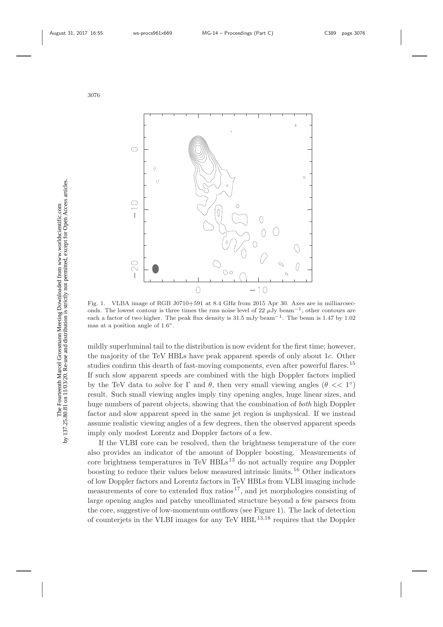

Fig. 1. VLBA image of RGB J0710+591 at 8.4 GHz from 2015 Apr 30. Axes are in milliarcseconds. The lowest contour is three times the rms noise level of 22  $\mu$ Jy beam<sup>-1</sup>, other contours are each a factor of two higher. The peak flux density is 31.5 mJy beam−1. The beam is 1.47 by 1.02 mas at a position angle of  $1.6°$ .

mildly superluminal tail to the distribution is now evident for the first time; however, the majority of the TeV HBLs have peak apparent speeds of only about 1c. Other studies confirm this dearth of fast-moving components, even after powerful flares.<sup>15</sup> If such slow apparent speeds are combined with the high Doppler factors implied by the TeV data to solve for  $\Gamma$  and  $\theta$ , then very small viewing angles  $(\theta \ll 1^{\circ})$ result. Such small viewing angles imply tiny opening angles, huge linear sizes, and huge numbers of parent objects, showing that the combination of *both* high Doppler factor and slow apparent speed in the same jet region is unphysical. If we instead assume realistic viewing angles of a few degrees, then the observed apparent speeds imply only modest Lorentz and Doppler factors of a few.

If the VLBI core can be resolved, then the brightness temperature of the core also provides an indicator of the amount of Doppler boosting. Measurements of core brightness temperatures in TeV  $HBLs<sup>13</sup>$  do not actually require any Doppler boosting to reduce their values below measured intrinsic limits.<sup>16</sup> Other indicators of low Doppler factors and Lorentz factors in TeV HBLs from VLBI imaging include measurements of core to extended flux ratios<sup>17</sup>, and jet morphologies consisting of large opening angles and patchy uncollimated structure beyond a few parsecs from the core, suggestive of low-momentum outflows (see Figure 1). The lack of detection of counterjets in the VLBI images for any TeV  $HBL^{13,18}$  requires that the Doppler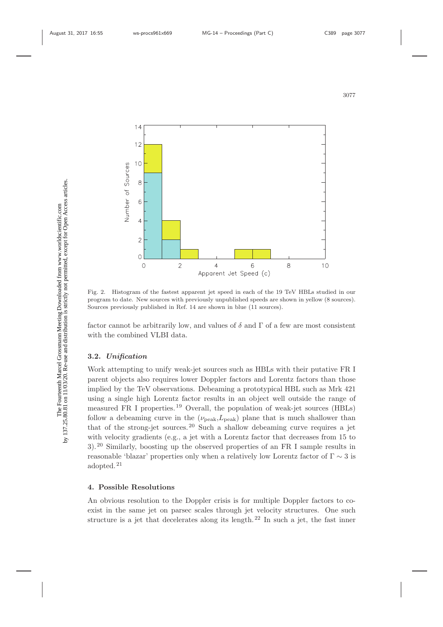

Fig. 2. Histogram of the fastest apparent jet speed in each of the 19 TeV HBLs studied in our program to date. New sources with previously unpublished speeds are shown in yellow (8 sources). Sources previously published in Ref. 14 are shown in blue (11 sources).

factor cannot be arbitrarily low, and values of  $\delta$  and  $\Gamma$  of a few are most consistent with the combined VLBI data.

### **3.2.** *Unification*

Work attempting to unify weak-jet sources such as HBLs with their putative FR I parent objects also requires lower Doppler factors and Lorentz factors than those implied by the TeV observations. Debeaming a prototypical HBL such as Mrk 421 using a single high Lorentz factor results in an object well outside the range of measured FR I properties.<sup>19</sup> Overall, the population of weak-jet sources (HBLs) follow a debeaming curve in the  $(\nu_{\text{peak}}, L_{\text{peak}})$  plane that is much shallower than that of the strong-jet sources.<sup>20</sup> Such a shallow debeaming curve requires a jet with velocity gradients (e.g., a jet with a Lorentz factor that decreases from 15 to 3).<sup>20</sup> Similarly, boosting up the observed properties of an FR I sample results in reasonable 'blazar' properties only when a relatively low Lorentz factor of  $\Gamma \sim 3$  is adopted.<sup>21</sup>

### **4. Possible Resolutions**

An obvious resolution to the Doppler crisis is for multiple Doppler factors to coexist in the same jet on parsec scales through jet velocity structures. One such structure is a jet that decelerates along its length.<sup>22</sup> In such a jet, the fast inner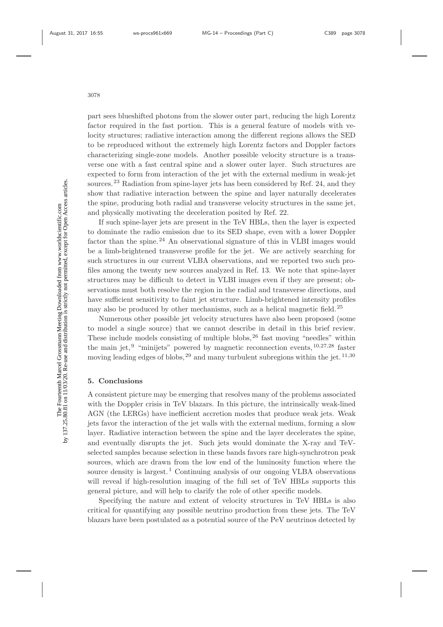part sees blueshifted photons from the slower outer part, reducing the high Lorentz factor required in the fast portion. This is a general feature of models with velocity structures; radiative interaction among the different regions allows the SED to be reproduced without the extremely high Lorentz factors and Doppler factors characterizing single-zone models. Another possible velocity structure is a transverse one with a fast central spine and a slower outer layer. Such structures are expected to form from interaction of the jet with the external medium in weak-jet sources.<sup>23</sup> Radiation from spine-layer jets has been considered by Ref. 24, and they show that radiative interaction between the spine and layer naturally decelerates the spine, producing both radial and transverse velocity structures in the same jet, and physically motivating the deceleration posited by Ref. 22.

If such spine-layer jets are present in the TeV HBLs, then the layer is expected to dominate the radio emission due to its SED shape, even with a lower Doppler factor than the spine.<sup>24</sup> An observational signature of this in VLBI images would be a limb-brightened transverse profile for the jet. We are actively searching for such structures in our current VLBA observations, and we reported two such profiles among the twenty new sources analyzed in Ref. 13. We note that spine-layer structures may be difficult to detect in VLBI images even if they are present; observations must both resolve the region in the radial and transverse directions, and have sufficient sensitivity to faint jet structure. Limb-brightened intensity profiles may also be produced by other mechanisms, such as a helical magnetic field.<sup>25</sup>

Numerous other possible jet velocity structures have also been proposed (some to model a single source) that we cannot describe in detail in this brief review. These include models consisting of multiple blobs,  $26$  fast moving "needles" within the main jet,<sup>9</sup> "minijets" powered by magnetic reconnection events,  $10,27,28$  faster moving leading edges of blobs,  $^{29}$  and many turbulent subregions within the jet.  $^{11,30}$ 

#### **5. Conclusions**

A consistent picture may be emerging that resolves many of the problems associated with the Doppler crisis in TeV blazars. In this picture, the intrinsically weak-lined AGN (the LERGs) have inefficient accretion modes that produce weak jets. Weak jets favor the interaction of the jet walls with the external medium, forming a slow layer. Radiative interaction between the spine and the layer decelerates the spine, and eventually disrupts the jet. Such jets would dominate the X-ray and TeVselected samples because selection in these bands favors rare high-synchrotron peak sources, which are drawn from the low end of the luminosity function where the source density is largest.<sup>1</sup> Continuing analysis of our ongoing VLBA observations will reveal if high-resolution imaging of the full set of TeV HBLs supports this general picture, and will help to clarify the role of other specific models.

Specifying the nature and extent of velocity structures in TeV HBLs is also critical for quantifying any possible neutrino production from these jets. The TeV blazars have been postulated as a potential source of the PeV neutrinos detected by